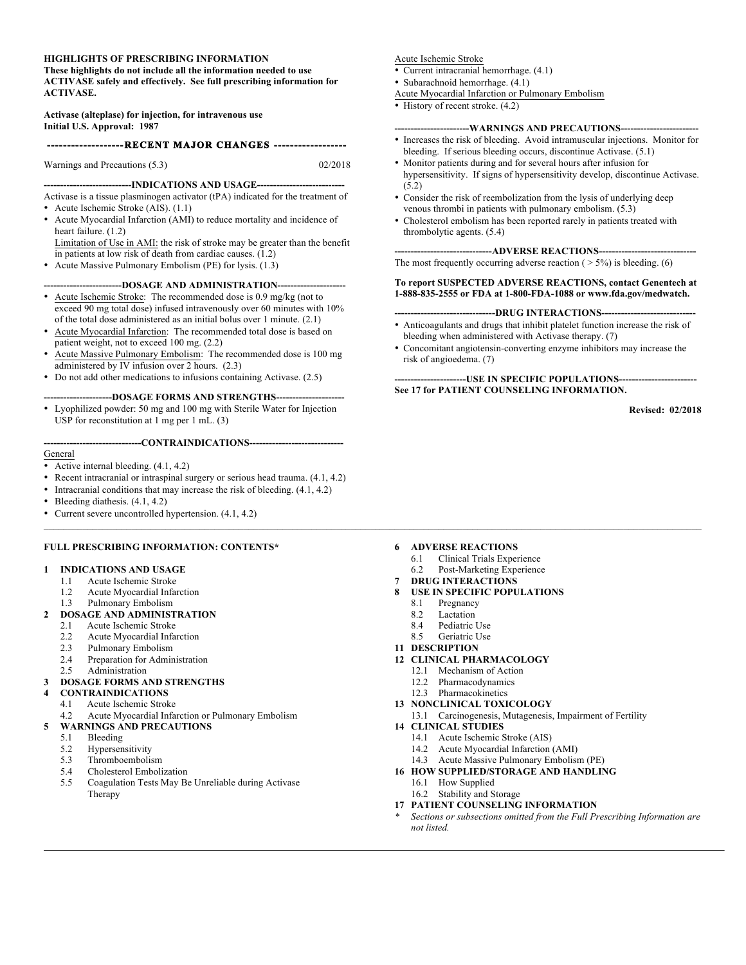#### **HIGHLIGHTS OF PRESCRIBING INFORMATION**

**These highlights do not include all the information needed to use ACTIVASE safely and effectively. See full prescribing information for ACTIVASE.**

**Activase (alteplase) for injection, for intravenous use Initial U.S. Approval: 1987**

#### **--RECENT MAJOR CHANGES ---**

Warnings and Precautions (5.3) 02/2018

**---------------------------INDICATIONS AND USAGE---------------------------** Activase is a tissue plasminogen activator (tPA) indicated for the treatment of

- Acute Ischemic Stroke (AIS). (1.1)
- Acute Myocardial Infarction (AMI) to reduce mortality and incidence of heart failure. (1.2)

Limitation of Use in AMI: the risk of stroke may be greater than the benefit in patients at low risk of death from cardiac causes. (1.2)

• Acute Massive Pulmonary Embolism (PE) for lysis. (1.3)

#### --DOSAGE AND ADMINISTRATION---

- Acute Ischemic Stroke: The recommended dose is 0.9 mg/kg (not to exceed 90 mg total dose) infused intravenously over 60 minutes with 10% of the total dose administered as an initial bolus over 1 minute. (2.1)
- Acute Myocardial Infarction: The recommended total dose is based on patient weight, not to exceed 100 mg. (2.2)
- Acute Massive Pulmonary Embolism: The recommended dose is 100 mg administered by IV infusion over 2 hours. (2.3)
- Do not add other medications to infusions containing Activase. (2.5)

#### **---------------------DOSAGE FORMS AND STRENGTHS---------------------**

• Lyophilized powder: 50 mg and 100 mg with Sterile Water for Injection USP for reconstitution at 1 mg per 1 mL. (3)

#### **------------------------------CONTRAINDICATIONS-----------------------------**

- General
- Active internal bleeding. (4.1, 4.2)
- Recent intracranial or intraspinal surgery or serious head trauma. (4.1, 4.2)
- Intracranial conditions that may increase the risk of bleeding. (4.1, 4.2)
- Bleeding diathesis. (4.1, 4.2)
- Current severe uncontrolled hypertension. (4.1, 4.2)

#### **FULL PRESCRIBING INFORMATION: CONTENTS\***

#### **1 INDICATIONS AND USAGE**

- 1.1 Acute Ischemic Stroke
- 1.2 Acute Myocardial Infarction
- 1.3 Pulmonary Embolism

#### **2 DOSAGE AND ADMINISTRATION**

- 2.1 Acute Ischemic Stroke
- 2.2 Acute Myocardial Infarction
- 2.3 Pulmonary Embolism
- 2.4 Preparation for Administration
- 2.5 Administration

#### **3 DOSAGE FORMS AND STRENGTHS**

- **4 CONTRAINDICATIONS**
	- 4.1 Acute Ischemic Stroke
- 4.2 Acute Myocardial Infarction or Pulmonary Embolism

#### **5 WARNINGS AND PRECAUTIONS**

- 5.1 Bleeding
- 5.2 Hypersensitivity
- 5.3 Thromboembolism
- 5.4 Cholesterol Embolization
- 5.5 Coagulation Tests May Be Unreliable during Activase Therapy

#### Acute Ischemic Stroke

- Current intracranial hemorrhage. (4.1)
- Subarachnoid hemorrhage. (4.1)
- Acute Myocardial Infarction or Pulmonary Embolism
- History of recent stroke.  $(4.2)$

#### **-----------------------WARNINGS AND PRECAUTIONS------------------------**

- Increases the risk of bleeding. Avoid intramuscular injections. Monitor for bleeding. If serious bleeding occurs, discontinue Activase. (5.1)
- Monitor patients during and for several hours after infusion for hypersensitivity. If signs of hypersensitivity develop, discontinue Activase. (5.2)
- Consider the risk of reembolization from the lysis of underlying deep venous thrombi in patients with pulmonary embolism. (5.3)
- Cholesterol embolism has been reported rarely in patients treated with thrombolytic agents. (5.4)

#### ---ADVERSE REACTIONS--

The most frequently occurring adverse reaction  $($  > 5%) is bleeding. (6)

#### **To report SUSPECTED ADVERSE REACTIONS, contact Genentech at 1-888-835-2555 or FDA at 1-800-FDA-1088 or www.fda.gov/medwatch.**

#### ---DRUG INTERACTIONS----

- Anticoagulants and drugs that inhibit platelet function increase the risk of bleeding when administered with Activase therapy. (7)
- Concomitant angiotensin-converting enzyme inhibitors may increase the risk of angioedema. (7)

#### **----------------------USE IN SPECIFIC POPULATIONS------------------------ See 17 for PATIENT COUNSELING INFORMATION.**

**Revised: 02/2018**

#### **6 ADVERSE REACTIONS**

- 6.1 Clinical Trials Experience
- 6.2 Post-Marketing Experience

#### **7 DRUG INTERACTIONS**

- **8 USE IN SPECIFIC POPULATIONS**
	- 8.1 Pregnancy
	- 8.2 Lactation
	- 8.4 Pediatric Use
	- 8.5 Geriatric Use
- **11 DESCRIPTION**
- **12 CLINICAL PHARMACOLOGY**
	- 12.1 Mechanism of Action
	- 12.2 Pharmacodynamics
	- 12.3 Pharmacokinetics
- **13 NONCLINICAL TOXICOLOGY**
- 13.1 Carcinogenesis, Mutagenesis, Impairment of Fertility
- **14 CLINICAL STUDIES**
	- 14.1 Acute Ischemic Stroke (AIS)
	- 14.2 Acute Myocardial Infarction (AMI)
	- 14.3 Acute Massive Pulmonary Embolism (PE)
- **16 HOW SUPPLIED/STORAGE AND HANDLING**
	- 16.1 How Supplied
	- 16.2 Stability and Storage
- **17 PATIENT COUNSELING INFORMATION**
- *\* Sections or subsections omitted from the Full Prescribing Information are not listed.*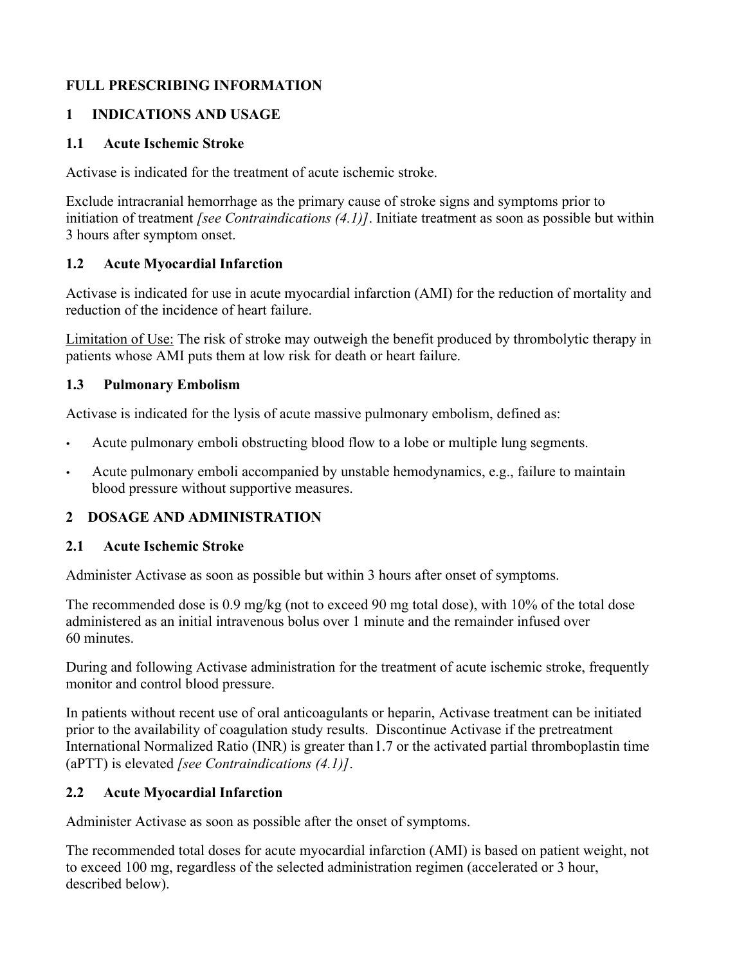# **FULL PRESCRIBING INFORMATION**

# **1 INDICATIONS AND USAGE**

# **1.1 Acute Ischemic Stroke**

Activase is indicated for the treatment of acute ischemic stroke.

Exclude intracranial hemorrhage as the primary cause of stroke signs and symptoms prior to initiation of treatment *[see Contraindications (4.1)]*. Initiate treatment as soon as possible but within 3 hours after symptom onset.

# **1.2 Acute Myocardial Infarction**

Activase is indicated for use in acute myocardial infarction (AMI) for the reduction of mortality and reduction of the incidence of heart failure.

Limitation of Use: The risk of stroke may outweigh the benefit produced by thrombolytic therapy in patients whose AMI puts them at low risk for death or heart failure.

# **1.3 Pulmonary Embolism**

Activase is indicated for the lysis of acute massive pulmonary embolism, defined as:

- Acute pulmonary emboli obstructing blood flow to a lobe or multiple lung segments.
- Acute pulmonary emboli accompanied by unstable hemodynamics, e.g., failure to maintain blood pressure without supportive measures.

# **2 DOSAGE AND ADMINISTRATION**

### **2.1 Acute Ischemic Stroke**

Administer Activase as soon as possible but within 3 hours after onset of symptoms.

The recommended dose is 0.9 mg/kg (not to exceed 90 mg total dose), with 10% of the total dose administered as an initial intravenous bolus over 1 minute and the remainder infused over 60 minutes.

During and following Activase administration for the treatment of acute ischemic stroke, frequently monitor and control blood pressure.

In patients without recent use of oral anticoagulants or heparin, Activase treatment can be initiated prior to the availability of coagulation study results. Discontinue Activase if the pretreatment International Normalized Ratio (INR) is greater than1.7 or the activated partial thromboplastin time (aPTT) is elevated *[see Contraindications (4.1)]*.

# **2.2 Acute Myocardial Infarction**

Administer Activase as soon as possible after the onset of symptoms.

The recommended total doses for acute myocardial infarction (AMI) is based on patient weight, not to exceed 100 mg, regardless of the selected administration regimen (accelerated or 3 hour, described below).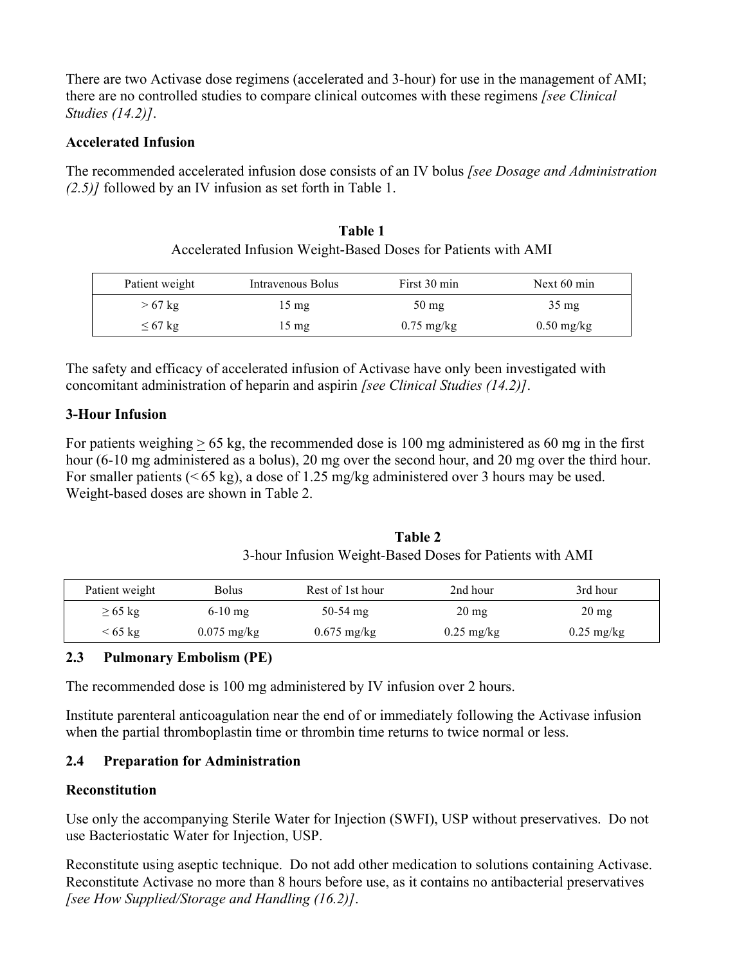There are two Activase dose regimens (accelerated and 3-hour) for use in the management of AMI; there are no controlled studies to compare clinical outcomes with these regimens *[see Clinical Studies (14.2)]*.

### **Accelerated Infusion**

The recommended accelerated infusion dose consists of an IV bolus *[see Dosage and Administration (2.5)]* followed by an IV infusion as set forth in Table 1.

| Table 1                                                       |  |
|---------------------------------------------------------------|--|
| Accelerated Infusion Weight-Based Doses for Patients with AMI |  |

| Patient weight | Intravenous Bolus | First 30 min         | Next $60 \text{ min}$ |
|----------------|-------------------|----------------------|-----------------------|
| $>67$ kg       | 15 mg             | $50 \text{ mg}$      | $35 \text{ mg}$       |
| $\leq 67$ kg   | $15 \text{ mg}$   | $0.75 \text{ mg/kg}$ | $0.50$ mg/kg          |

The safety and efficacy of accelerated infusion of Activase have only been investigated with concomitant administration of heparin and aspirin *[see Clinical Studies (14.2)]*.

# **3-Hour Infusion**

For patients weighing  $\geq 65$  kg, the recommended dose is 100 mg administered as 60 mg in the first hour (6-10 mg administered as a bolus), 20 mg over the second hour, and 20 mg over the third hour. For smaller patients (< 65 kg), a dose of 1.25 mg/kg administered over 3 hours may be used. Weight-based doses are shown in Table 2.

| Table 2                                                  |
|----------------------------------------------------------|
| 3-hour Infusion Weight-Based Doses for Patients with AMI |

| Patient weight    | Bolus         | Rest of 1st hour | 2nd hour             | 3rd hour             |
|-------------------|---------------|------------------|----------------------|----------------------|
| $\geq 65$ kg      | $6-10$ mg     | $50-54$ mg       | $20 \text{ mg}$      | $20 \text{ mg}$      |
| $< 65 \text{ kg}$ | $0.075$ mg/kg | $0.675$ mg/kg    | $0.25 \text{ mg/kg}$ | $0.25 \text{ mg/kg}$ |

# **2.3 Pulmonary Embolism (PE)**

The recommended dose is 100 mg administered by IV infusion over 2 hours.

Institute parenteral anticoagulation near the end of or immediately following the Activase infusion when the partial thromboplastin time or thrombin time returns to twice normal or less.

# **2.4 Preparation for Administration**

### **Reconstitution**

Use only the accompanying Sterile Water for Injection (SWFI), USP without preservatives. Do not use Bacteriostatic Water for Injection, USP.

Reconstitute using aseptic technique. Do not add other medication to solutions containing Activase. Reconstitute Activase no more than 8 hours before use, as it contains no antibacterial preservatives *[see How Supplied/Storage and Handling (16.2)]*.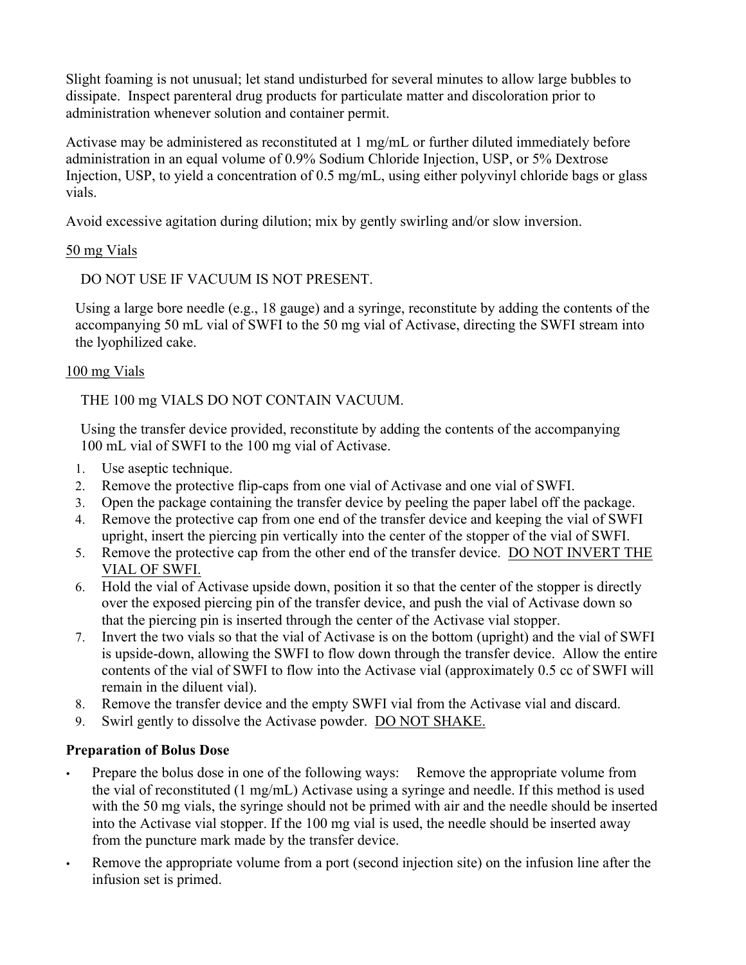Slight foaming is not unusual; let stand undisturbed for several minutes to allow large bubbles to dissipate. Inspect parenteral drug products for particulate matter and discoloration prior to administration whenever solution and container permit.

Activase may be administered as reconstituted at 1 mg/mL or further diluted immediately before administration in an equal volume of 0.9% Sodium Chloride Injection, USP, or 5% Dextrose Injection, USP, to yield a concentration of 0.5 mg/mL, using either polyvinyl chloride bags or glass vials.

Avoid excessive agitation during dilution; mix by gently swirling and/or slow inversion.

# 50 mg Vials

DO NOT USE IF VACUUM IS NOT PRESENT.

Using a large bore needle (e.g., 18 gauge) and a syringe, reconstitute by adding the contents of the accompanying 50 mL vial of SWFI to the 50 mg vial of Activase, directing the SWFI stream into the lyophilized cake.

# 100 mg Vials

THE 100 mg VIALS DO NOT CONTAIN VACUUM.

Using the transfer device provided, reconstitute by adding the contents of the accompanying 100 mL vial of SWFI to the 100 mg vial of Activase.

- 1. Use aseptic technique.
- 2. Remove the protective flip-caps from one vial of Activase and one vial of SWFI.
- 3. Open the package containing the transfer device by peeling the paper label off the package.
- 4. Remove the protective cap from one end of the transfer device and keeping the vial of SWFI upright, insert the piercing pin vertically into the center of the stopper of the vial of SWFI.
- 5. Remove the protective cap from the other end of the transfer device. DO NOT INVERT THE VIAL OF SWFI.
- 6. Hold the vial of Activase upside down, position it so that the center of the stopper is directly over the exposed piercing pin of the transfer device, and push the vial of Activase down so that the piercing pin is inserted through the center of the Activase vial stopper.
- 7. Invert the two vials so that the vial of Activase is on the bottom (upright) and the vial of SWFI is upside-down, allowing the SWFI to flow down through the transfer device. Allow the entire contents of the vial of SWFI to flow into the Activase vial (approximately 0.5 cc of SWFI will remain in the diluent vial).
- 8. Remove the transfer device and the empty SWFI vial from the Activase vial and discard.
- 9. Swirl gently to dissolve the Activase powder. DO NOT SHAKE.

# **Preparation of Bolus Dose**

- Prepare the bolus dose in one of the following ways: Remove the appropriate volume from the vial of reconstituted (1 mg/mL) Activase using a syringe and needle. If this method is used with the 50 mg vials, the syringe should not be primed with air and the needle should be inserted into the Activase vial stopper. If the 100 mg vial is used, the needle should be inserted away from the puncture mark made by the transfer device.
- Remove the appropriate volume from a port (second injection site) on the infusion line after the infusion set is primed.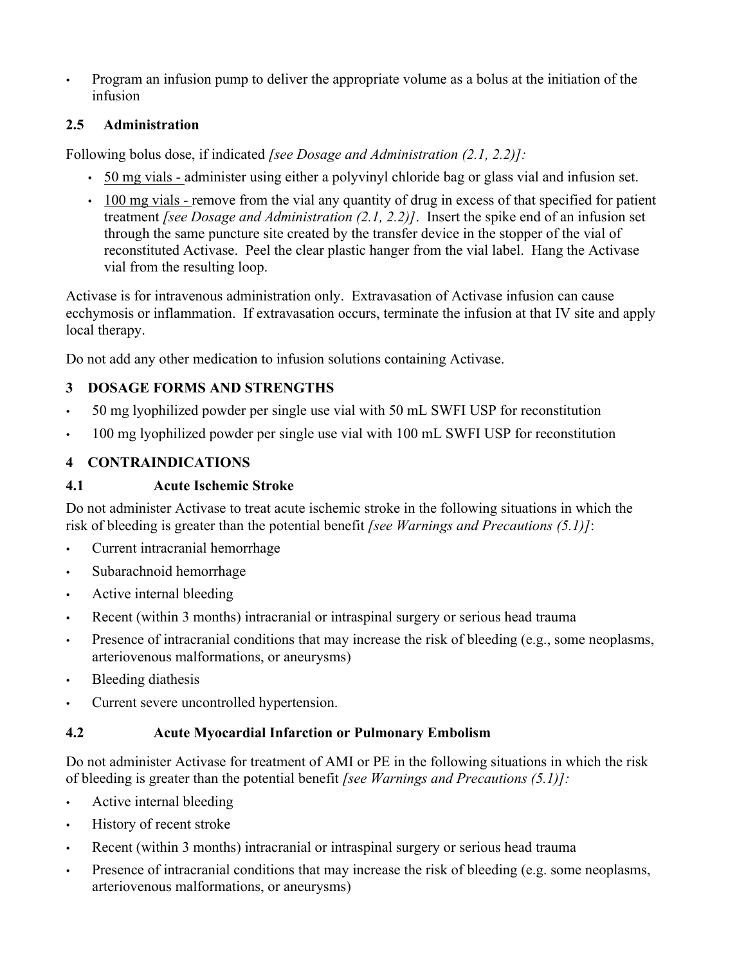• Program an infusion pump to deliver the appropriate volume as a bolus at the initiation of the infusion

# **2.5 Administration**

Following bolus dose, if indicated *[see Dosage and Administration (2.1, 2.2)]:*

- 50 mg vials administer using either a polyvinyl chloride bag or glass vial and infusion set.
- 100 mg vials remove from the vial any quantity of drug in excess of that specified for patient treatment *[see Dosage and Administration (2.1, 2.2)]*. Insert the spike end of an infusion set through the same puncture site created by the transfer device in the stopper of the vial of reconstituted Activase. Peel the clear plastic hanger from the vial label. Hang the Activase vial from the resulting loop.

Activase is for intravenous administration only. Extravasation of Activase infusion can cause ecchymosis or inflammation. If extravasation occurs, terminate the infusion at that IV site and apply local therapy.

Do not add any other medication to infusion solutions containing Activase.

# **3 DOSAGE FORMS AND STRENGTHS**

- 50 mg lyophilized powder per single use vial with 50 mL SWFI USP for reconstitution
- 100 mg lyophilized powder per single use vial with 100 mL SWFI USP for reconstitution

# **4 CONTRAINDICATIONS**

# **4.1 Acute Ischemic Stroke**

Do not administer Activase to treat acute ischemic stroke in the following situations in which the risk of bleeding is greater than the potential benefit *[see Warnings and Precautions (5.1)]*:

- Current intracranial hemorrhage
- Subarachnoid hemorrhage
- Active internal bleeding
- Recent (within 3 months) intracranial or intraspinal surgery or serious head trauma
- Presence of intracranial conditions that may increase the risk of bleeding (e.g., some neoplasms, arteriovenous malformations, or aneurysms)
- Bleeding diathesis
- Current severe uncontrolled hypertension.

# **4.2 Acute Myocardial Infarction or Pulmonary Embolism**

Do not administer Activase for treatment of AMI or PE in the following situations in which the risk of bleeding is greater than the potential benefit *[see Warnings and Precautions (5.1)]:*

- Active internal bleeding
- History of recent stroke
- Recent (within 3 months) intracranial or intraspinal surgery or serious head trauma
- Presence of intracranial conditions that may increase the risk of bleeding (e.g. some neoplasms, arteriovenous malformations, or aneurysms)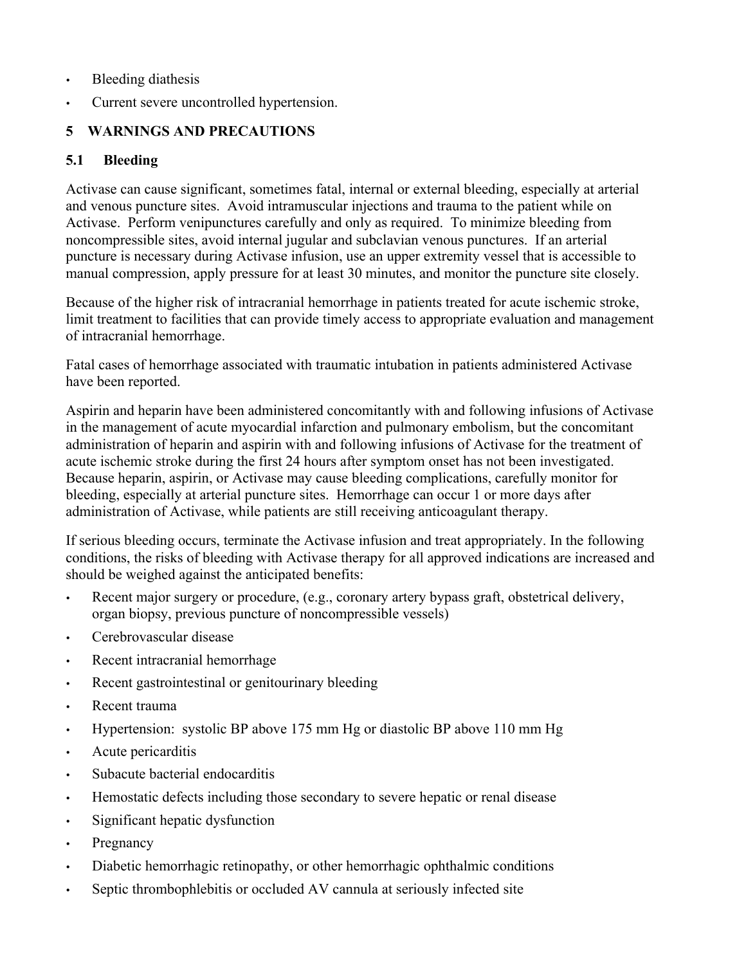- Bleeding diathesis
- Current severe uncontrolled hypertension.

# **5 WARNINGS AND PRECAUTIONS**

# **5.1 Bleeding**

Activase can cause significant, sometimes fatal, internal or external bleeding, especially at arterial and venous puncture sites. Avoid intramuscular injections and trauma to the patient while on Activase. Perform venipunctures carefully and only as required. To minimize bleeding from noncompressible sites, avoid internal jugular and subclavian venous punctures. If an arterial puncture is necessary during Activase infusion, use an upper extremity vessel that is accessible to manual compression, apply pressure for at least 30 minutes, and monitor the puncture site closely.

Because of the higher risk of intracranial hemorrhage in patients treated for acute ischemic stroke, limit treatment to facilities that can provide timely access to appropriate evaluation and management of intracranial hemorrhage.

Fatal cases of hemorrhage associated with traumatic intubation in patients administered Activase have been reported.

Aspirin and heparin have been administered concomitantly with and following infusions of Activase in the management of acute myocardial infarction and pulmonary embolism, but the concomitant administration of heparin and aspirin with and following infusions of Activase for the treatment of acute ischemic stroke during the first 24 hours after symptom onset has not been investigated. Because heparin, aspirin, or Activase may cause bleeding complications, carefully monitor for bleeding, especially at arterial puncture sites. Hemorrhage can occur 1 or more days after administration of Activase, while patients are still receiving anticoagulant therapy.

If serious bleeding occurs, terminate the Activase infusion and treat appropriately. In the following conditions, the risks of bleeding with Activase therapy for all approved indications are increased and should be weighed against the anticipated benefits:

- Recent major surgery or procedure, (e.g., coronary artery bypass graft, obstetrical delivery, organ biopsy, previous puncture of noncompressible vessels)
- Cerebrovascular disease
- Recent intracranial hemorrhage
- Recent gastrointestinal or genitourinary bleeding
- Recent trauma
- Hypertension: systolic BP above 175 mm Hg or diastolic BP above 110 mm Hg
- Acute pericarditis
- Subacute bacterial endocarditis
- Hemostatic defects including those secondary to severe hepatic or renal disease
- Significant hepatic dysfunction
- Pregnancy
- Diabetic hemorrhagic retinopathy, or other hemorrhagic ophthalmic conditions
- Septic thrombophlebitis or occluded AV cannula at seriously infected site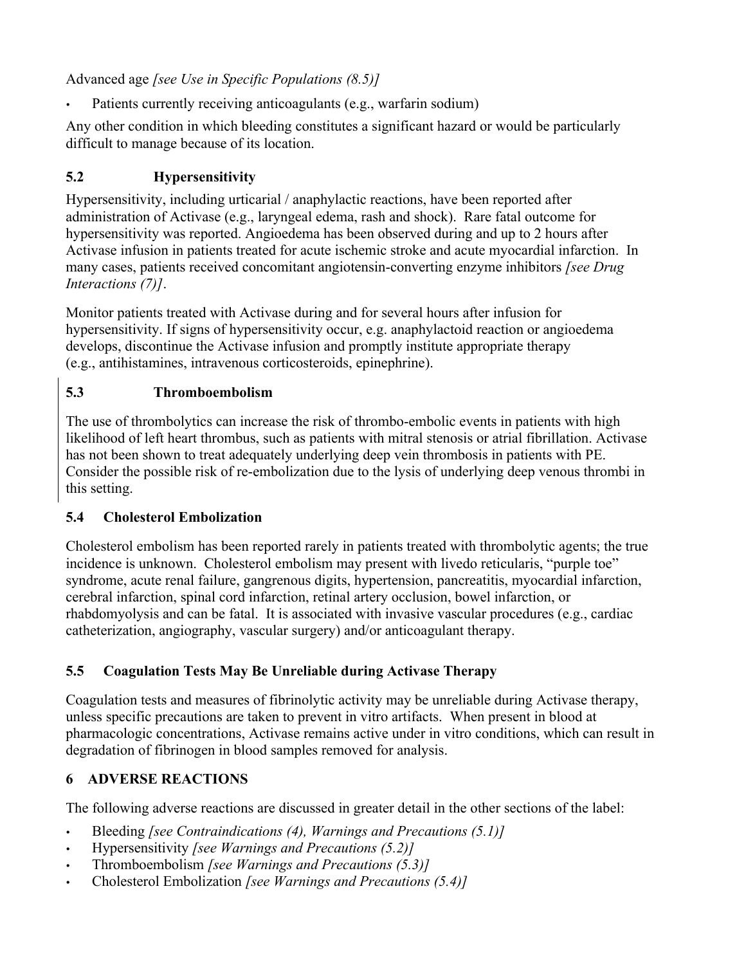Advanced age *[see Use in Specific Populations (8.5)]*

Patients currently receiving anticoagulants (e.g., warfarin sodium)

Any other condition in which bleeding constitutes a significant hazard or would be particularly difficult to manage because of its location.

# **5.2 Hypersensitivity**

Hypersensitivity, including urticarial / anaphylactic reactions, have been reported after administration of Activase (e.g., laryngeal edema, rash and shock). Rare fatal outcome for hypersensitivity was reported. Angioedema has been observed during and up to 2 hours after Activase infusion in patients treated for acute ischemic stroke and acute myocardial infarction. In many cases, patients received concomitant angiotensin-converting enzyme inhibitors *[see Drug Interactions (7)]*.

Monitor patients treated with Activase during and for several hours after infusion for hypersensitivity. If signs of hypersensitivity occur, e.g. anaphylactoid reaction or angioedema develops, discontinue the Activase infusion and promptly institute appropriate therapy (e.g., antihistamines, intravenous corticosteroids, epinephrine).

# **5.3 Thromboembolism**

The use of thrombolytics can increase the risk of thrombo-embolic events in patients with high likelihood of left heart thrombus, such as patients with mitral stenosis or atrial fibrillation. Activase has not been shown to treat adequately underlying deep vein thrombosis in patients with PE. Consider the possible risk of re-embolization due to the lysis of underlying deep venous thrombi in this setting.

# **5.4 Cholesterol Embolization**

Cholesterol embolism has been reported rarely in patients treated with thrombolytic agents; the true incidence is unknown. Cholesterol embolism may present with livedo reticularis, "purple toe" syndrome, acute renal failure, gangrenous digits, hypertension, pancreatitis, myocardial infarction, cerebral infarction, spinal cord infarction, retinal artery occlusion, bowel infarction, or rhabdomyolysis and can be fatal. It is associated with invasive vascular procedures (e.g., cardiac catheterization, angiography, vascular surgery) and/or anticoagulant therapy.

# **5.5 Coagulation Tests May Be Unreliable during Activase Therapy**

Coagulation tests and measures of fibrinolytic activity may be unreliable during Activase therapy, unless specific precautions are taken to prevent in vitro artifacts. When present in blood at pharmacologic concentrations, Activase remains active under in vitro conditions, which can result in degradation of fibrinogen in blood samples removed for analysis.

# **6 ADVERSE REACTIONS**

The following adverse reactions are discussed in greater detail in the other sections of the label:

- Bleeding *[see Contraindications (4), Warnings and Precautions (5.1)]*
- Hypersensitivity *[see Warnings and Precautions (5.2)]*
- Thromboembolism *[see Warnings and Precautions (5.3)]*
- Cholesterol Embolization *[see Warnings and Precautions (5.4)]*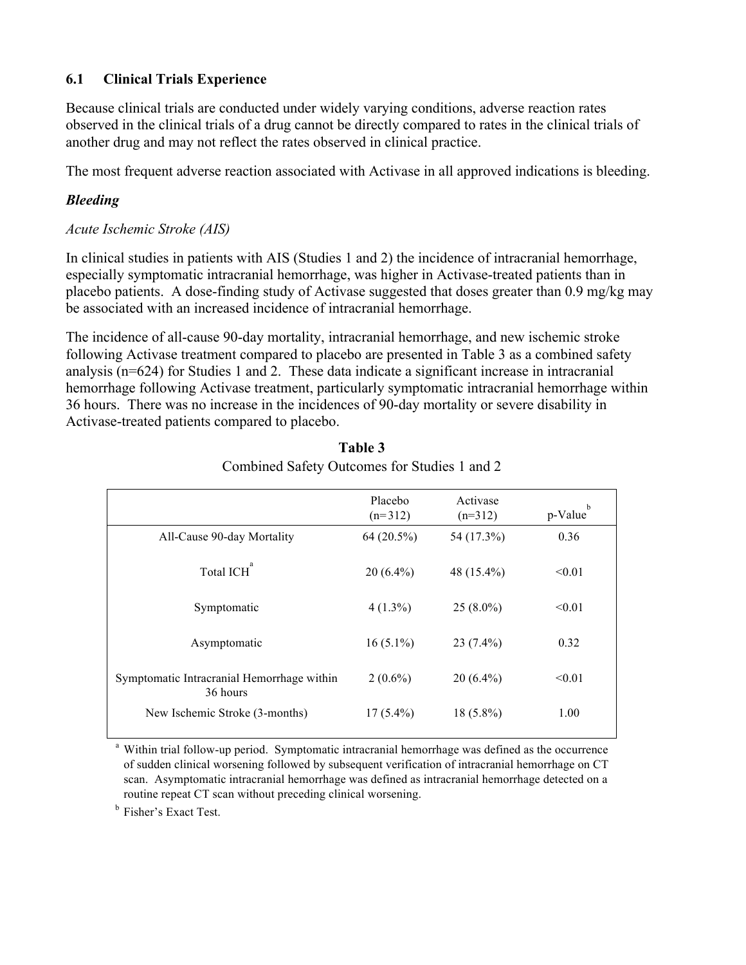# **6.1 Clinical Trials Experience**

Because clinical trials are conducted under widely varying conditions, adverse reaction rates observed in the clinical trials of a drug cannot be directly compared to rates in the clinical trials of another drug and may not reflect the rates observed in clinical practice.

The most frequent adverse reaction associated with Activase in all approved indications is bleeding.

## *Bleeding*

### *Acute Ischemic Stroke (AIS)*

In clinical studies in patients with AIS (Studies 1 and 2) the incidence of intracranial hemorrhage, especially symptomatic intracranial hemorrhage, was higher in Activase-treated patients than in placebo patients. A dose-finding study of Activase suggested that doses greater than 0.9 mg/kg may be associated with an increased incidence of intracranial hemorrhage.

The incidence of all-cause 90-day mortality, intracranial hemorrhage, and new ischemic stroke following Activase treatment compared to placebo are presented in Table 3 as a combined safety analysis (n=624) for Studies 1 and 2. These data indicate a significant increase in intracranial hemorrhage following Activase treatment, particularly symptomatic intracranial hemorrhage within 36 hours. There was no increase in the incidences of 90-day mortality or severe disability in Activase-treated patients compared to placebo.

|                                                        | Placebo<br>$(n=312)$ | Activase<br>$(n=312)$ | b<br>p-Value |
|--------------------------------------------------------|----------------------|-----------------------|--------------|
| All-Cause 90-day Mortality                             | 64 (20.5%)           | 54 (17.3%)            | 0.36         |
| Total ICH <sup>a</sup>                                 | $20(6.4\%)$          | 48 (15.4%)            | < 0.01       |
| Symptomatic                                            | $4(1.3\%)$           | $25(8.0\%)$           | < 0.01       |
| Asymptomatic                                           | $16(5.1\%)$          | $23(7.4\%)$           | 0.32         |
| Symptomatic Intracranial Hemorrhage within<br>36 hours | $2(0.6\%)$           | $20(6.4\%)$           | < 0.01       |
| New Ischemic Stroke (3-months)                         | $17(5.4\%)$          | $18(5.8\%)$           | 1.00         |

| Table 3                                      |  |
|----------------------------------------------|--|
| Combined Safety Outcomes for Studies 1 and 2 |  |

<sup>a</sup> Within trial follow-up period. Symptomatic intracranial hemorrhage was defined as the occurrence of sudden clinical worsening followed by subsequent verification of intracranial hemorrhage on CT scan. Asymptomatic intracranial hemorrhage was defined as intracranial hemorrhage detected on a routine repeat CT scan without preceding clinical worsening.

**b** Fisher's Exact Test.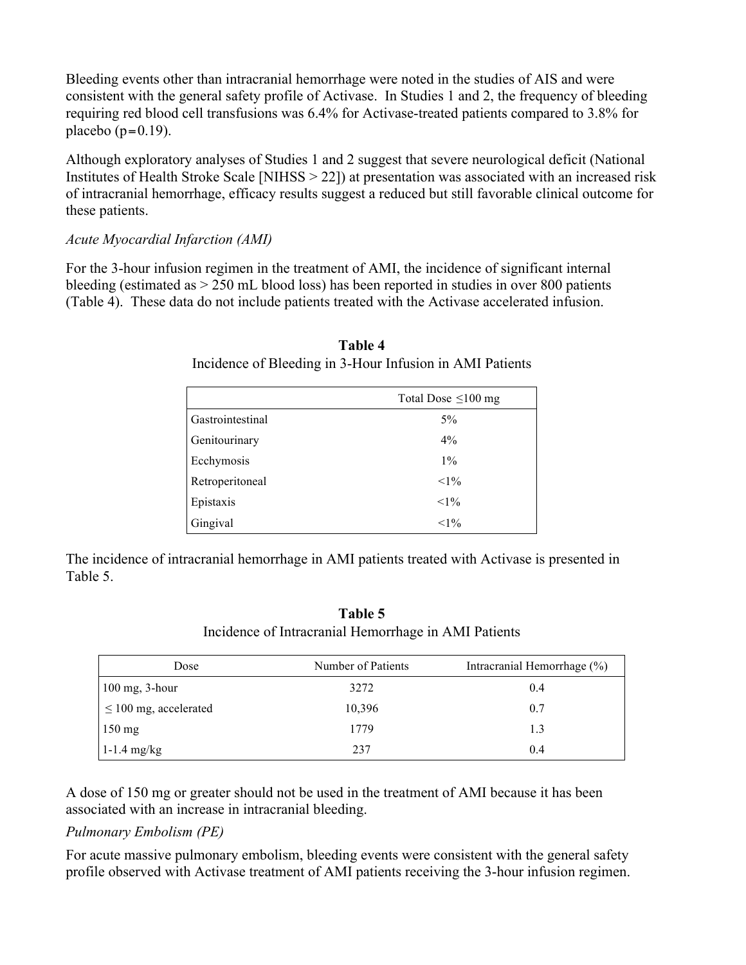Bleeding events other than intracranial hemorrhage were noted in the studies of AIS and were consistent with the general safety profile of Activase. In Studies 1 and 2, the frequency of bleeding requiring red blood cell transfusions was 6.4% for Activase-treated patients compared to 3.8% for placebo  $(p=0.19)$ .

Although exploratory analyses of Studies 1 and 2 suggest that severe neurological deficit (National Institutes of Health Stroke Scale [NIHSS > 22]) at presentation was associated with an increased risk of intracranial hemorrhage, efficacy results suggest a reduced but still favorable clinical outcome for these patients.

### *Acute Myocardial Infarction (AMI)*

For the 3-hour infusion regimen in the treatment of AMI, the incidence of significant internal bleeding (estimated as > 250 mL blood loss) has been reported in studies in over 800 patients (Table 4). These data do not include patients treated with the Activase accelerated infusion.

|                  | Total Dose $\leq 100$ mg |
|------------------|--------------------------|
| Gastrointestinal | $5\%$                    |
| Genitourinary    | $4\%$                    |
| Ecchymosis       | $1\%$                    |
| Retroperitoneal  | $<1\%$                   |
| Epistaxis        | $<1\%$                   |
| Gingival         | $<1\%$                   |

**Table 4** Incidence of Bleeding in 3-Hour Infusion in AMI Patients

The incidence of intracranial hemorrhage in AMI patients treated with Activase is presented in Table 5.

**Table 5** Incidence of Intracranial Hemorrhage in AMI Patients

| Dose                       | Number of Patients | Intracranial Hemorrhage (%) |
|----------------------------|--------------------|-----------------------------|
| $100$ mg, 3-hour           | 3272               | 0.4                         |
| $\leq 100$ mg, accelerated | 10,396             | 0.7                         |
| $150 \text{ mg}$           | 1779               | 1.3                         |
| 1-1.4 mg/kg                | 237                | 0.4                         |

A dose of 150 mg or greater should not be used in the treatment of AMI because it has been associated with an increase in intracranial bleeding.

### *Pulmonary Embolism (PE)*

For acute massive pulmonary embolism, bleeding events were consistent with the general safety profile observed with Activase treatment of AMI patients receiving the 3-hour infusion regimen.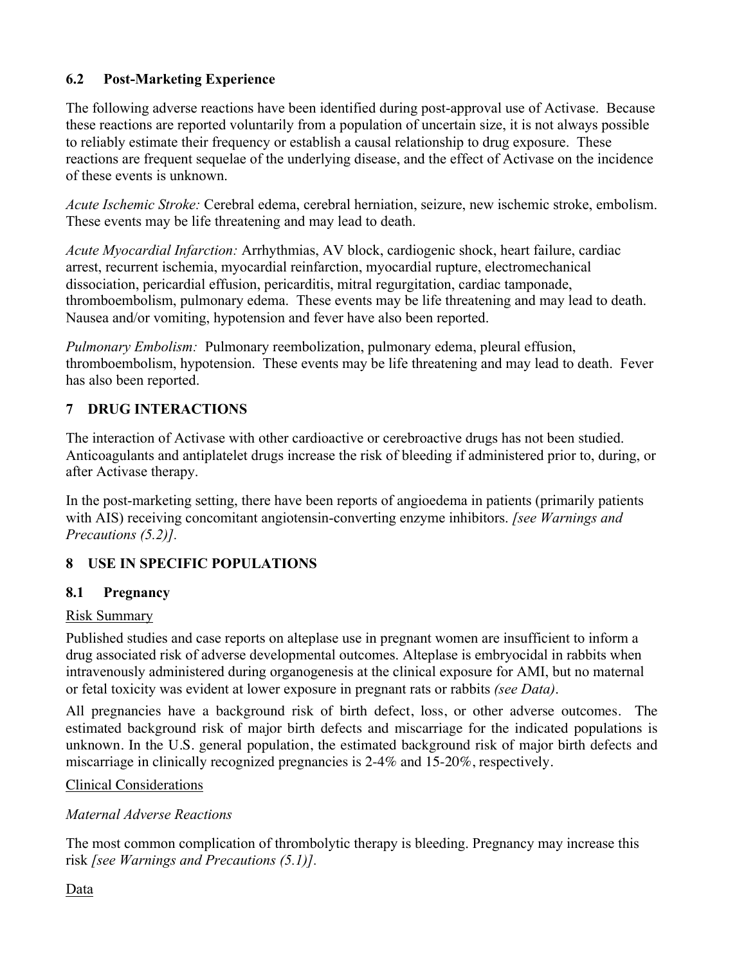# **6.2 Post-Marketing Experience**

The following adverse reactions have been identified during post-approval use of Activase. Because these reactions are reported voluntarily from a population of uncertain size, it is not always possible to reliably estimate their frequency or establish a causal relationship to drug exposure. These reactions are frequent sequelae of the underlying disease, and the effect of Activase on the incidence of these events is unknown.

*Acute Ischemic Stroke:* Cerebral edema, cerebral herniation, seizure, new ischemic stroke, embolism. These events may be life threatening and may lead to death.

*Acute Myocardial Infarction:* Arrhythmias, AV block, cardiogenic shock, heart failure, cardiac arrest, recurrent ischemia, myocardial reinfarction, myocardial rupture, electromechanical dissociation, pericardial effusion, pericarditis, mitral regurgitation, cardiac tamponade, thromboembolism, pulmonary edema. These events may be life threatening and may lead to death. Nausea and/or vomiting, hypotension and fever have also been reported.

*Pulmonary Embolism:* Pulmonary reembolization, pulmonary edema, pleural effusion, thromboembolism, hypotension. These events may be life threatening and may lead to death. Fever has also been reported.

# **7 DRUG INTERACTIONS**

The interaction of Activase with other cardioactive or cerebroactive drugs has not been studied. Anticoagulants and antiplatelet drugs increase the risk of bleeding if administered prior to, during, or after Activase therapy.

In the post-marketing setting, there have been reports of angioedema in patients (primarily patients with AIS) receiving concomitant angiotensin-converting enzyme inhibitors. *[see Warnings and Precautions (5.2)].*

# **8 USE IN SPECIFIC POPULATIONS**

# **8.1 Pregnancy**

### Risk Summary

Published studies and case reports on alteplase use in pregnant women are insufficient to inform a drug associated risk of adverse developmental outcomes. Alteplase is embryocidal in rabbits when intravenously administered during organogenesis at the clinical exposure for AMI, but no maternal or fetal toxicity was evident at lower exposure in pregnant rats or rabbits *(see Data)*.

All pregnancies have a background risk of birth defect, loss, or other adverse outcomes. The estimated background risk of major birth defects and miscarriage for the indicated populations is unknown. In the U.S. general population, the estimated background risk of major birth defects and miscarriage in clinically recognized pregnancies is 2-4% and 15-20%, respectively.

# Clinical Considerations

*Maternal Adverse Reactions*

The most common complication of thrombolytic therapy is bleeding. Pregnancy may increase this risk *[see Warnings and Precautions (5.1)].*

Data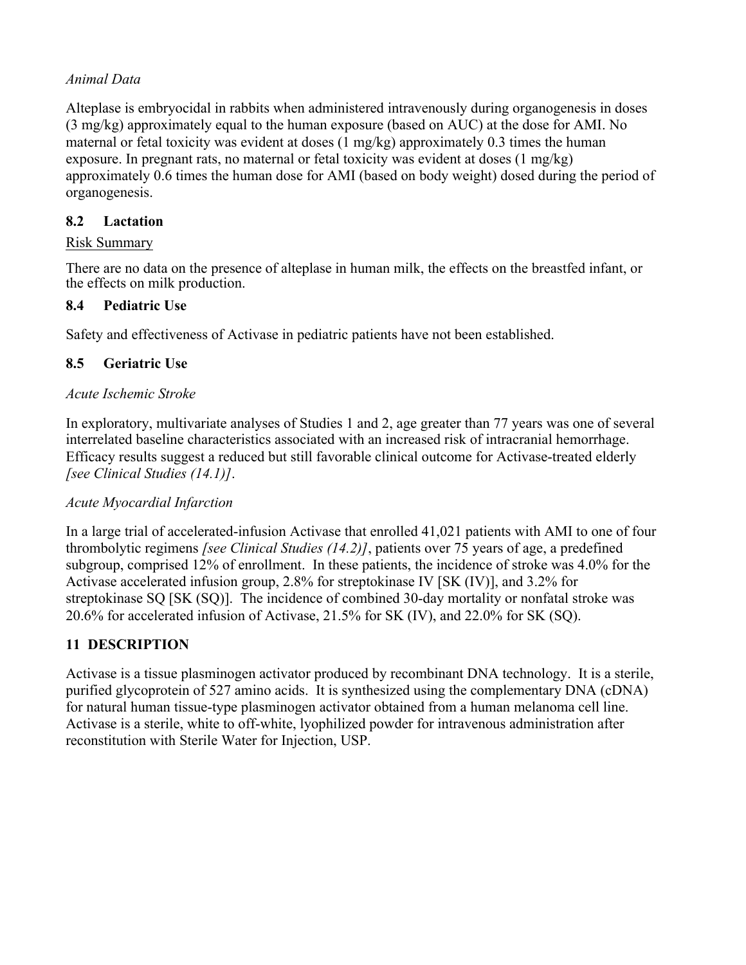## *Animal Data*

Alteplase is embryocidal in rabbits when administered intravenously during organogenesis in doses (3 mg/kg) approximately equal to the human exposure (based on AUC) at the dose for AMI. No maternal or fetal toxicity was evident at doses (1 mg/kg) approximately 0.3 times the human exposure. In pregnant rats, no maternal or fetal toxicity was evident at doses  $(1 \text{ mg/kg})$ approximately 0.6 times the human dose for AMI (based on body weight) dosed during the period of organogenesis.

# **8.2 Lactation**

## Risk Summary

There are no data on the presence of alteplase in human milk, the effects on the breastfed infant, or the effects on milk production.

# **8.4 Pediatric Use**

Safety and effectiveness of Activase in pediatric patients have not been established.

# **8.5 Geriatric Use**

### *Acute Ischemic Stroke*

In exploratory, multivariate analyses of Studies 1 and 2, age greater than 77 years was one of several interrelated baseline characteristics associated with an increased risk of intracranial hemorrhage. Efficacy results suggest a reduced but still favorable clinical outcome for Activase-treated elderly *[see Clinical Studies (14.1)]*.

### *Acute Myocardial Infarction*

In a large trial of accelerated-infusion Activase that enrolled 41,021 patients with AMI to one of four thrombolytic regimens *[see Clinical Studies (14.2)]*, patients over 75 years of age, a predefined subgroup, comprised 12% of enrollment. In these patients, the incidence of stroke was 4.0% for the Activase accelerated infusion group, 2.8% for streptokinase IV [SK (IV)], and 3.2% for streptokinase SQ [SK (SQ)]. The incidence of combined 30-day mortality or nonfatal stroke was 20.6% for accelerated infusion of Activase, 21.5% for SK (IV), and 22.0% for SK (SQ).

# **11 DESCRIPTION**

Activase is a tissue plasminogen activator produced by recombinant DNA technology. It is a sterile, purified glycoprotein of 527 amino acids. It is synthesized using the complementary DNA (cDNA) for natural human tissue-type plasminogen activator obtained from a human melanoma cell line. Activase is a sterile, white to off-white, lyophilized powder for intravenous administration after reconstitution with Sterile Water for Injection, USP.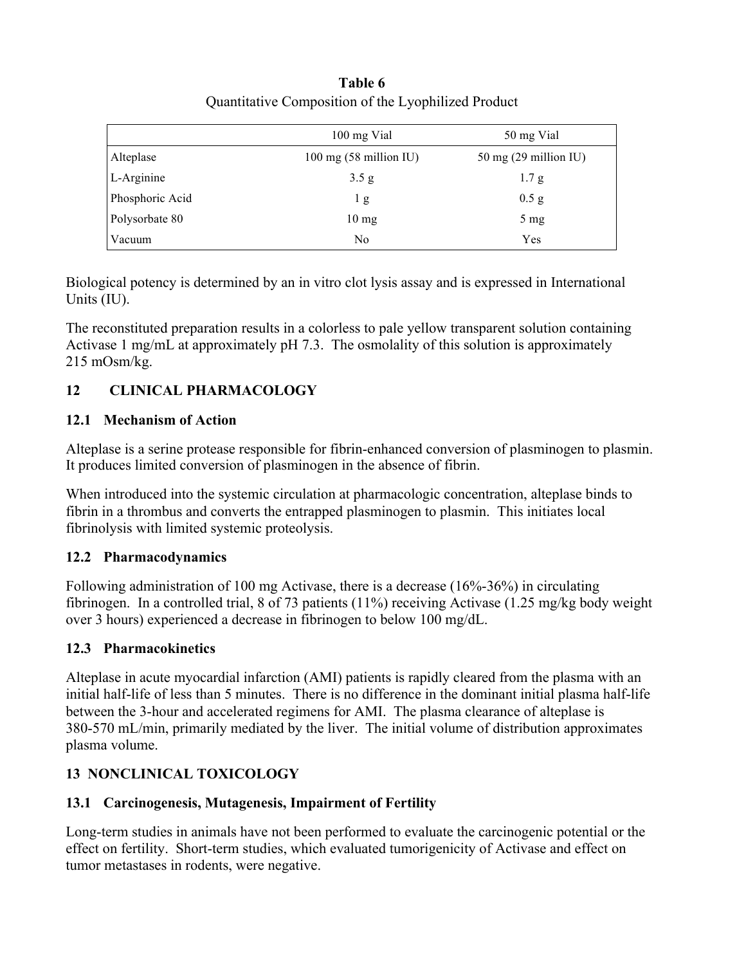# **Table 6** Quantitative Composition of the Lyophilized Product

|                 | 100 mg Vial                | 50 mg Vial                      |
|-----------------|----------------------------|---------------------------------|
| Alteplase       | $100$ mg $(58$ million IU) | $50 \text{ mg}$ (29 million IU) |
| $L$ -Arginine   | 3.5 g                      | 1.7 g                           |
| Phosphoric Acid | 1g                         | $0.5$ g                         |
| Polysorbate 80  | $10 \text{ mg}$            | $5 \text{ mg}$                  |
| Vacuum          | No                         | Yes                             |

Biological potency is determined by an in vitro clot lysis assay and is expressed in International Units (IU).

The reconstituted preparation results in a colorless to pale yellow transparent solution containing Activase 1 mg/mL at approximately pH 7.3. The osmolality of this solution is approximately 215 mOsm/kg.

# **12 CLINICAL PHARMACOLOGY**

# **12.1 Mechanism of Action**

Alteplase is a serine protease responsible for fibrin-enhanced conversion of plasminogen to plasmin. It produces limited conversion of plasminogen in the absence of fibrin.

When introduced into the systemic circulation at pharmacologic concentration, alteplase binds to fibrin in a thrombus and converts the entrapped plasminogen to plasmin. This initiates local fibrinolysis with limited systemic proteolysis.

# **12.2 Pharmacodynamics**

Following administration of 100 mg Activase, there is a decrease (16%-36%) in circulating fibrinogen. In a controlled trial, 8 of 73 patients (11%) receiving Activase (1.25 mg/kg body weight over 3 hours) experienced a decrease in fibrinogen to below 100 mg/dL.

# **12.3 Pharmacokinetics**

Alteplase in acute myocardial infarction (AMI) patients is rapidly cleared from the plasma with an initial half-life of less than 5 minutes. There is no difference in the dominant initial plasma half-life between the 3-hour and accelerated regimens for AMI. The plasma clearance of alteplase is 380-570 mL/min, primarily mediated by the liver. The initial volume of distribution approximates plasma volume.

# **13 NONCLINICAL TOXICOLOGY**

# **13.1 Carcinogenesis, Mutagenesis, Impairment of Fertility**

Long-term studies in animals have not been performed to evaluate the carcinogenic potential or the effect on fertility. Short-term studies, which evaluated tumorigenicity of Activase and effect on tumor metastases in rodents, were negative.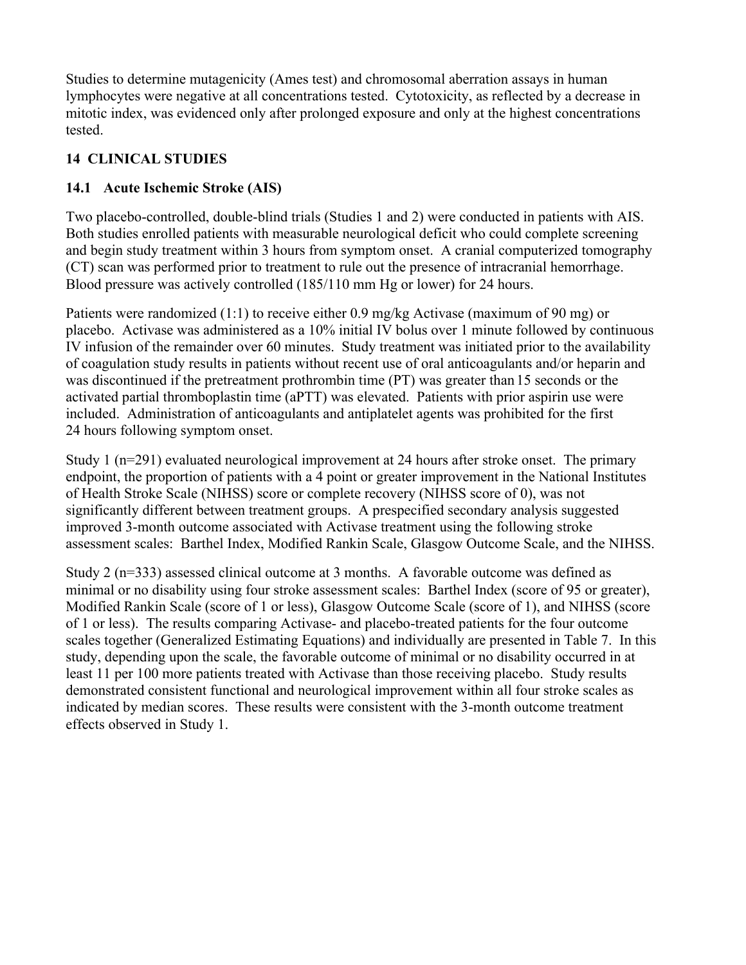Studies to determine mutagenicity (Ames test) and chromosomal aberration assays in human lymphocytes were negative at all concentrations tested. Cytotoxicity, as reflected by a decrease in mitotic index, was evidenced only after prolonged exposure and only at the highest concentrations tested.

# **14 CLINICAL STUDIES**

# **14.1 Acute Ischemic Stroke (AIS)**

Two placebo-controlled, double-blind trials (Studies 1 and 2) were conducted in patients with AIS. Both studies enrolled patients with measurable neurological deficit who could complete screening and begin study treatment within 3 hours from symptom onset. A cranial computerized tomography (CT) scan was performed prior to treatment to rule out the presence of intracranial hemorrhage. Blood pressure was actively controlled (185/110 mm Hg or lower) for 24 hours.

Patients were randomized (1:1) to receive either 0.9 mg/kg Activase (maximum of 90 mg) or placebo. Activase was administered as a 10% initial IV bolus over 1 minute followed by continuous IV infusion of the remainder over 60 minutes. Study treatment was initiated prior to the availability of coagulation study results in patients without recent use of oral anticoagulants and/or heparin and was discontinued if the pretreatment prothrombin time (PT) was greater than 15 seconds or the activated partial thromboplastin time (aPTT) was elevated. Patients with prior aspirin use were included. Administration of anticoagulants and antiplatelet agents was prohibited for the first 24 hours following symptom onset.

Study 1 (n=291) evaluated neurological improvement at 24 hours after stroke onset. The primary endpoint, the proportion of patients with a 4 point or greater improvement in the National Institutes of Health Stroke Scale (NIHSS) score or complete recovery (NIHSS score of 0), was not significantly different between treatment groups. A prespecified secondary analysis suggested improved 3-month outcome associated with Activase treatment using the following stroke assessment scales: Barthel Index, Modified Rankin Scale, Glasgow Outcome Scale, and the NIHSS.

Study 2 (n=333) assessed clinical outcome at 3 months. A favorable outcome was defined as minimal or no disability using four stroke assessment scales: Barthel Index (score of 95 or greater), Modified Rankin Scale (score of 1 or less), Glasgow Outcome Scale (score of 1), and NIHSS (score of 1 or less). The results comparing Activase- and placebo-treated patients for the four outcome scales together (Generalized Estimating Equations) and individually are presented in Table 7. In this study, depending upon the scale, the favorable outcome of minimal or no disability occurred in at least 11 per 100 more patients treated with Activase than those receiving placebo. Study results demonstrated consistent functional and neurological improvement within all four stroke scales as indicated by median scores. These results were consistent with the 3-month outcome treatment effects observed in Study 1.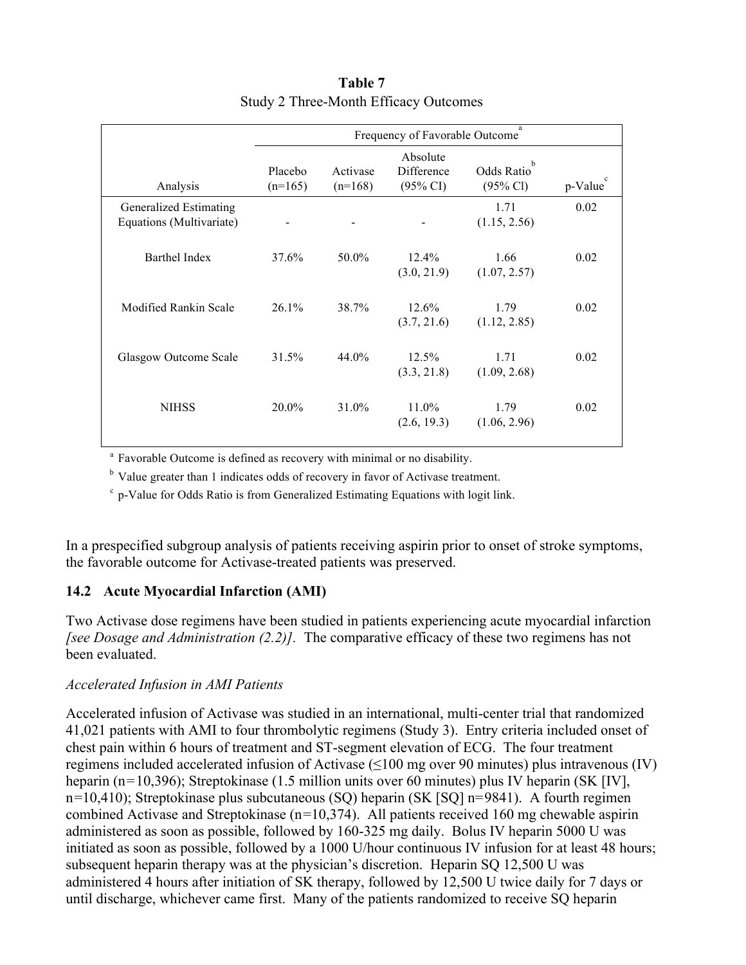|                                                    |                                |                       |                                               | a                                              |                        |
|----------------------------------------------------|--------------------------------|-----------------------|-----------------------------------------------|------------------------------------------------|------------------------|
|                                                    | Frequency of Favorable Outcome |                       |                                               |                                                |                        |
| Analysis                                           | Placebo<br>$(n=165)$           | Activase<br>$(n=168)$ | Absolute<br>Difference<br>$(95\% \text{ CI})$ | Odds Ratio <sup>b</sup><br>$(95\% \text{ Cl})$ | $\mathbf c$<br>p-Value |
| Generalized Estimating<br>Equations (Multivariate) | -                              |                       |                                               | 1.71<br>(1.15, 2.56)                           | 0.02                   |
| <b>Barthel Index</b>                               | 37.6%                          | 50.0%                 | $12.4\%$<br>(3.0, 21.9)                       | 1.66<br>(1.07, 2.57)                           | 0.02                   |
| Modified Rankin Scale                              | 26.1%                          | 38.7%                 | 12.6%<br>(3.7, 21.6)                          | 1.79<br>(1.12, 2.85)                           | 0.02                   |
| Glasgow Outcome Scale                              | 31.5%                          | $44.0\%$              | $12.5\%$<br>(3.3, 21.8)                       | 1.71<br>(1.09, 2.68)                           | 0.02                   |
| <b>NIHSS</b>                                       | 20.0%                          | 31.0%                 | $11.0\%$<br>(2.6, 19.3)                       | 1.79<br>(1.06, 2.96)                           | 0.02                   |

# **Table 7** Study 2 Three-Month Efficacy Outcomes

<sup>a</sup> Favorable Outcome is defined as recovery with minimal or no disability.

<sup>b</sup> Value greater than 1 indicates odds of recovery in favor of Activase treatment.

 $\degree$  p-Value for Odds Ratio is from Generalized Estimating Equations with logit link.

In a prespecified subgroup analysis of patients receiving aspirin prior to onset of stroke symptoms, the favorable outcome for Activase-treated patients was preserved.

### **14.2 Acute Myocardial Infarction (AMI)**

Two Activase dose regimens have been studied in patients experiencing acute myocardial infarction *[see Dosage and Administration (2.2)].* The comparative efficacy of these two regimens has not been evaluated.

### *Accelerated Infusion in AMI Patients*

Accelerated infusion of Activase was studied in an international, multi-center trial that randomized 41,021 patients with AMI to four thrombolytic regimens (Study 3). Entry criteria included onset of chest pain within 6 hours of treatment and ST-segment elevation of ECG. The four treatment regimens included accelerated infusion of Activase  $(\leq 100 \text{ mg over } 90 \text{ minutes})$  plus intravenous (IV) heparin (n=10,396); Streptokinase (1.5 million units over 60 minutes) plus IV heparin (SK [IV], n=10,410); Streptokinase plus subcutaneous (SQ) heparin (SK [SQ] n=9841). A fourth regimen combined Activase and Streptokinase (n=10,374). All patients received 160 mg chewable aspirin administered as soon as possible, followed by 160-325 mg daily. Bolus IV heparin 5000 U was initiated as soon as possible, followed by a 1000 U/hour continuous IV infusion for at least 48 hours; subsequent heparin therapy was at the physician's discretion. Heparin SQ 12,500 U was administered 4 hours after initiation of SK therapy, followed by 12,500 U twice daily for 7 days or until discharge, whichever came first. Many of the patients randomized to receive SQ heparin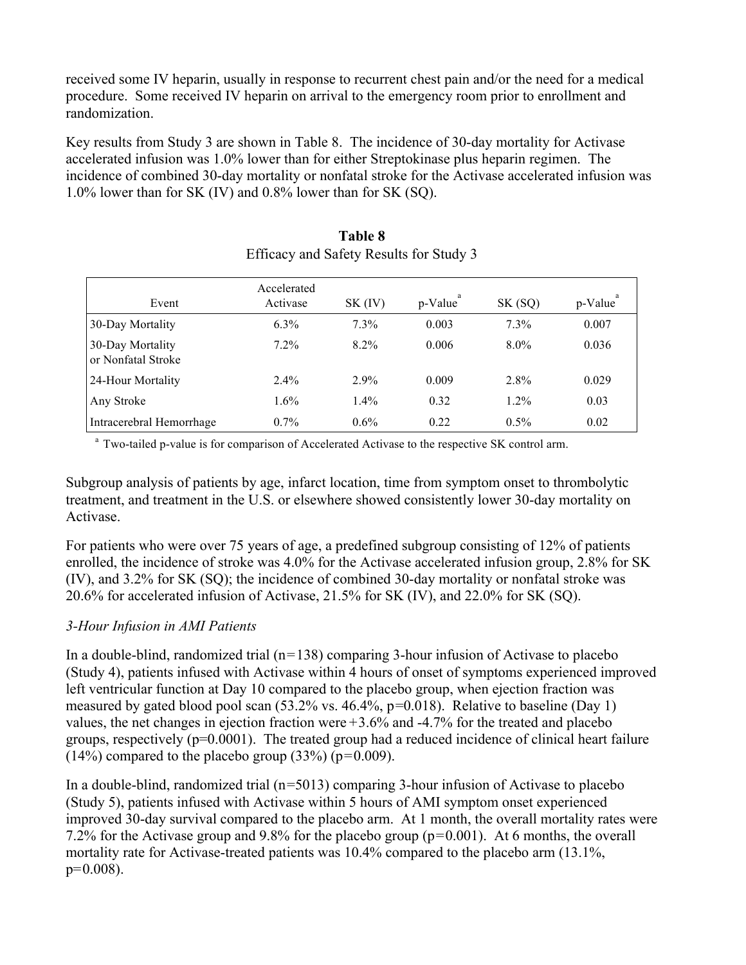received some IV heparin, usually in response to recurrent chest pain and/or the need for a medical procedure. Some received IV heparin on arrival to the emergency room prior to enrollment and randomization.

Key results from Study 3 are shown in Table 8. The incidence of 30-day mortality for Activase accelerated infusion was 1.0% lower than for either Streptokinase plus heparin regimen. The incidence of combined 30-day mortality or nonfatal stroke for the Activase accelerated infusion was 1.0% lower than for SK (IV) and 0.8% lower than for SK (SQ).

| Event                                  | Accelerated<br>Activase | $SK$ (IV) | p-Value | SK (SQ) | p-Value |
|----------------------------------------|-------------------------|-----------|---------|---------|---------|
| 30-Day Mortality                       | $6.3\%$                 | $7.3\%$   | 0.003   | 7.3%    | 0.007   |
| 30-Day Mortality<br>or Nonfatal Stroke | 7.2%                    | $8.2\%$   | 0.006   | $8.0\%$ | 0.036   |
| 24-Hour Mortality                      | $2.4\%$                 | $2.9\%$   | 0.009   | $2.8\%$ | 0.029   |
| Any Stroke                             | $1.6\%$                 | $1.4\%$   | 0.32    | $1.2\%$ | 0.03    |
| Intracerebral Hemorrhage               | $0.7\%$                 | $0.6\%$   | 0.22    | $0.5\%$ | 0.02    |

# **Table 8** Efficacy and Safety Results for Study 3

<sup>a</sup> Two-tailed p-value is for comparison of Accelerated Activase to the respective SK control arm.

Subgroup analysis of patients by age, infarct location, time from symptom onset to thrombolytic treatment, and treatment in the U.S. or elsewhere showed consistently lower 30-day mortality on Activase.

For patients who were over 75 years of age, a predefined subgroup consisting of 12% of patients enrolled, the incidence of stroke was 4.0% for the Activase accelerated infusion group, 2.8% for SK (IV), and 3.2% for SK (SQ); the incidence of combined 30-day mortality or nonfatal stroke was 20.6% for accelerated infusion of Activase, 21.5% for SK (IV), and 22.0% for SK (SQ).

### *3-Hour Infusion in AMI Patients*

In a double-blind, randomized trial  $(n=138)$  comparing 3-hour infusion of Activase to placebo (Study 4), patients infused with Activase within 4 hours of onset of symptoms experienced improved left ventricular function at Day 10 compared to the placebo group, when ejection fraction was measured by gated blood pool scan (53.2% vs. 46.4%, p=0.018). Relative to baseline (Day 1) values, the net changes in ejection fraction were +3.6% and -4.7% for the treated and placebo groups, respectively (p=0.0001). The treated group had a reduced incidence of clinical heart failure  $(14\%)$  compared to the placebo group  $(33\%)$  (p=0.009).

In a double-blind, randomized trial  $(n=5013)$  comparing 3-hour infusion of Activase to placebo (Study 5), patients infused with Activase within 5 hours of AMI symptom onset experienced improved 30-day survival compared to the placebo arm. At 1 month, the overall mortality rates were 7.2% for the Activase group and 9.8% for the placebo group (p=0.001). At 6 months, the overall mortality rate for Activase-treated patients was 10.4% compared to the placebo arm (13.1%,  $p=0.008$ ).